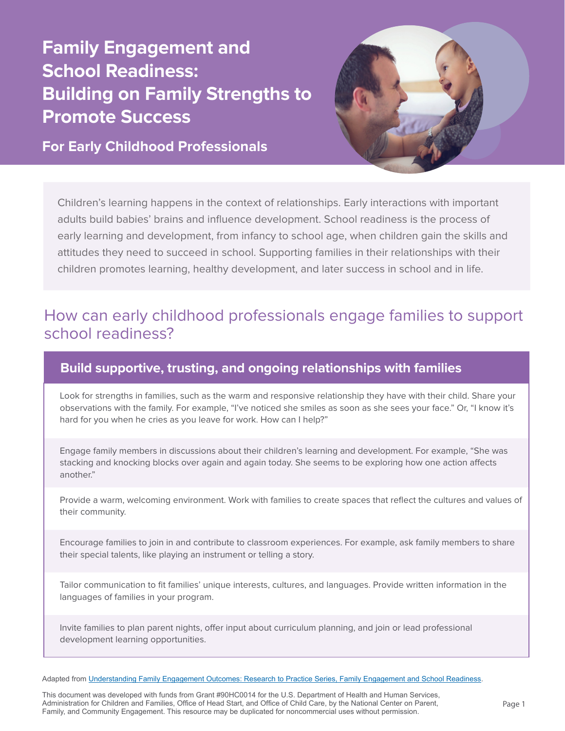## **Family Engagement and School Readiness: Building on Family Strengths to Promote Success**

**For Early Childhood Professionals**



Children's learning happens in the context of relationships. Early interactions with important adults build babies' brains and influence development. School readiness is the process of early learning and development, from infancy to school age, when children gain the skills and attitudes they need to succeed in school. Supporting families in their relationships with their children promotes learning, healthy development, and later success in school and in life.

## How can early childhood professionals engage families to support school readiness?

## **Build supportive, trusting, and ongoing relationships with families**

Look for strengths in families, such as the warm and responsive relationship they have with their child. Share your observations with the family. For example, "I've noticed she smiles as soon as she sees your face." Or, "I know it's hard for you when he cries as you leave for work. How can I help?"

Engage family members in discussions about their children's learning and development. For example, "She was stacking and knocking blocks over again and again today. She seems to be exploring how one action affects another."

Provide a warm, welcoming environment. Work with families to create spaces that reflect the cultures and values of their community.

Encourage families to join in and contribute to classroom experiences. For example, ask family members to share their special talents, like playing an instrument or telling a story.

Tailor communication to fit families' unique interests, cultures, and languages. Provide written information in the languages of families in your program.

Invite families to plan parent nights, offer input about curriculum planning, and join or lead professional development learning opportunities.

Adapted from [Understanding Family Engagement Outcomes: Research to Practice Series, Family Engagement and School Readiness](https://eclkc.ohs.acf.hhs.gov/sites/default/files/pdf/rtp-school-readiness.pdf).

This document was developed with funds from Grant #90HC0014 for the U.S. Department of Health and Human Services, Administration for Children and Families, Office of Head Start, and Office of Child Care, by the National Center on Parent, Family, and Community Engagement. This resource may be duplicated for noncommercial uses without permission.